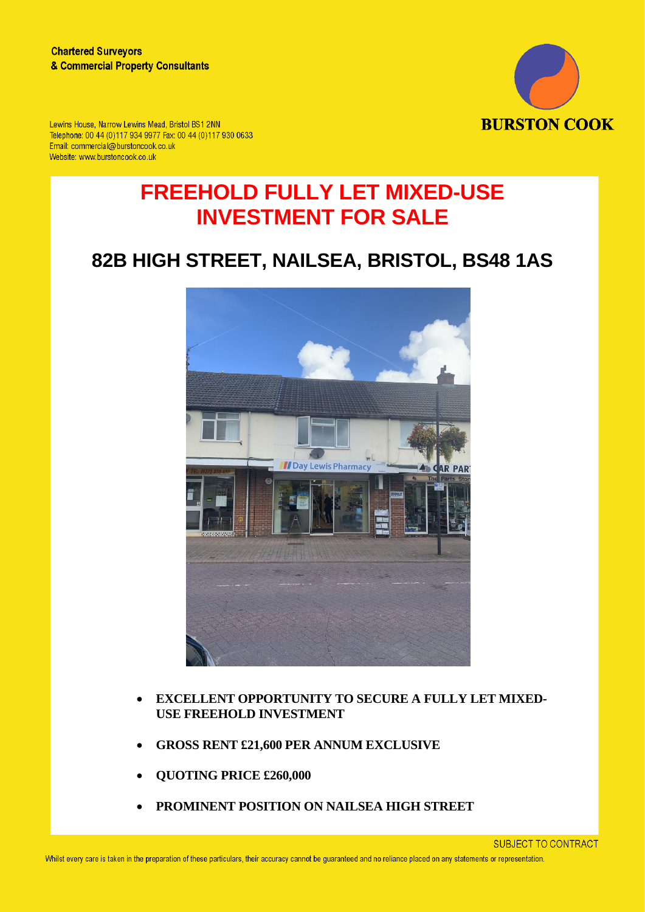

Lewins House, Narrow Lewins Mead, Bristol BS1 2NN Telephone: 00 44 (0)117 934 9977 Fax: 00 44 (0)117 930 0633 Email: commercial@burstoncook.co.uk Website: www.burstoncook.co.uk

# **FREEHOLD FULLY LET MIXED-USE INVESTMENT FOR SALE**

# **82B HIGH STREET, NAILSEA, BRISTOL, BS48 1AS**



- **EXCELLENT OPPORTUNITY TO SECURE A FULLY LET MIXED-USE FREEHOLD INVESTMENT**
- **GROSS RENT £21,600 PER ANNUM EXCLUSIVE**
- **QUOTING PRICE £260,000**
- **PROMINENT POSITION ON NAILSEA HIGH STREET**

**SUBJECT TO CONTRACT**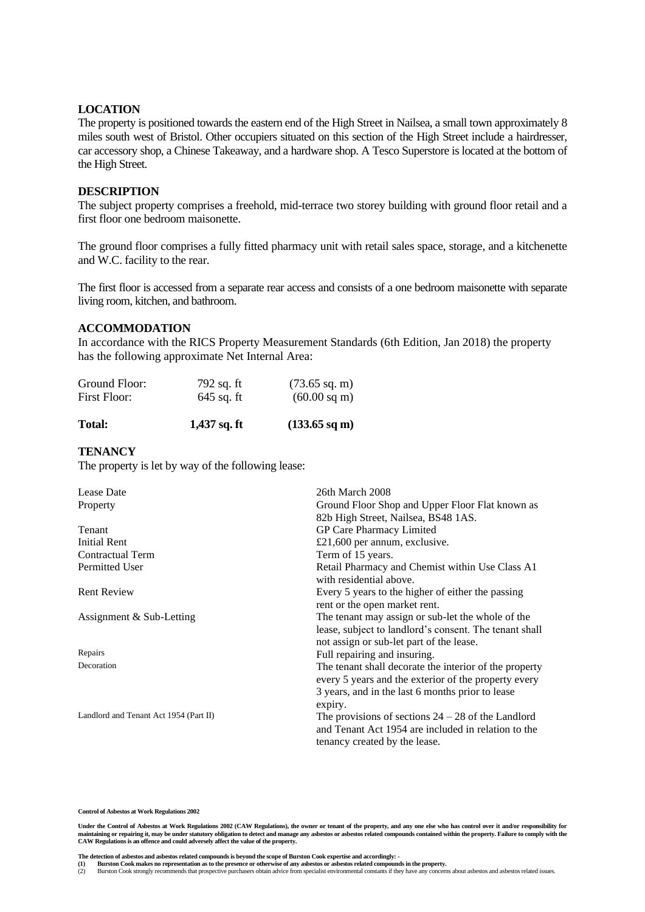#### **LOCATION**

The property is positioned towards the eastern end of the High Street in Nailsea, a small town approximately 8 miles south west of Bristol. Other occupiers situated on this section of the High Street include a hairdresser, car accessory shop, a Chinese Takeaway, and a hardware shop. A Tesco Superstore is located at the bottom of the High Street.

#### **DESCRIPTION**

The subject property comprises a freehold, mid-terrace two storey building with ground floor retail and a first floor one bedroom maisonette.

The ground floor comprises a fully fitted pharmacy unit with retail sales space, storage, and a kitchenette and W.C. facility to the rear.

The first floor is accessed from a separate rear access and consists of a one bedroom maisonette with separate living room, kitchen, and bathroom.

#### **ACCOMMODATION**

In accordance with the RICS Property Measurement Standards (6th Edition, Jan 2018) the property has the following approximate Net Internal Area:

| Ground Floor: | 792 sq. ft   | $(73.65 \text{ sq. m})$ |
|---------------|--------------|-------------------------|
| First Floor:  | $645$ sq. ft | $(60.00 \text{ sq m})$  |

| Total: | $1,437$ sq. ft | $(133.65 \text{ sq m})$ |
|--------|----------------|-------------------------|
|--------|----------------|-------------------------|

# **TENANCY**

The property is let by way of the following lease:

| Lease Date                             | 26th March 2008                                        |
|----------------------------------------|--------------------------------------------------------|
| Property                               | Ground Floor Shop and Upper Floor Flat known as        |
|                                        | 82b High Street, Nailsea, BS48 1AS.                    |
| Tenant                                 | GP Care Pharmacy Limited                               |
| Initial Rent                           | £21,600 per annum, exclusive.                          |
| <b>Contractual Term</b>                | Term of 15 years.                                      |
| Permitted User                         | Retail Pharmacy and Chemist within Use Class A1        |
|                                        | with residential above.                                |
| <b>Rent Review</b>                     | Every 5 years to the higher of either the passing      |
|                                        | rent or the open market rent.                          |
| Assignment & Sub-Letting               | The tenant may assign or sub-let the whole of the      |
|                                        | lease, subject to landlord's consent. The tenant shall |
|                                        | not assign or sub-let part of the lease.               |
| Repairs                                | Full repairing and insuring.                           |
| Decoration                             | The tenant shall decorate the interior of the property |
|                                        | every 5 years and the exterior of the property every   |
|                                        | 3 years, and in the last 6 months prior to lease       |
|                                        | expiry.                                                |
| Landlord and Tenant Act 1954 (Part II) | The provisions of sections $24 - 28$ of the Landlord   |
|                                        | and Tenant Act 1954 are included in relation to the    |
|                                        | tenancy created by the lease.                          |

**Control of Asbestos at Work Regulations 2002**

**Under the Control of Asbestos at Work Regulations 2002 (CAW Regulations), the owner or tenant of the property, and any one else who has control over it and/or responsibility for**  maintaining or repairing it, may be under statutory obligation to detect and manage any asbestos or asbestos related compounds contained within the property. Failure to comply with the<br>CAW Regulations is an offence and cou

The detection of asbestos and asbestos related compounds is beyond the scope of Burston Cook expertise and accordingly: -<br>(1) Burston Cook makes no representation as to the presence or otherwise of any asbestos or asbestos